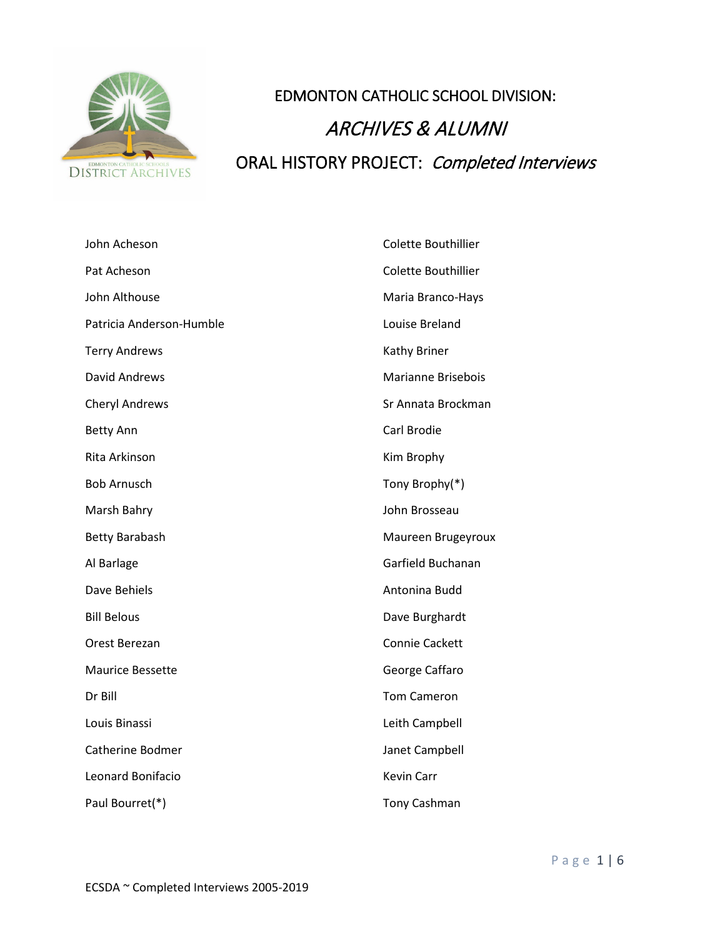

## EDMONTON CATHOLIC SCHOOL DIVISION: ARCHIVES & ALUMNI ORAL HISTORY PROJECT: Completed Interviews

| John Acheson             | Colette Bouthillier       |
|--------------------------|---------------------------|
| Pat Acheson              | Colette Bouthillier       |
| John Althouse            | Maria Branco-Hays         |
| Patricia Anderson-Humble | Louise Breland            |
| <b>Terry Andrews</b>     | Kathy Briner              |
| <b>David Andrews</b>     | <b>Marianne Brisebois</b> |
| <b>Cheryl Andrews</b>    | Sr Annata Brockman        |
| <b>Betty Ann</b>         | Carl Brodie               |
| Rita Arkinson            | Kim Brophy                |
| <b>Bob Arnusch</b>       | Tony Brophy(*)            |
| Marsh Bahry              | John Brosseau             |
| <b>Betty Barabash</b>    | Maureen Brugeyroux        |
| Al Barlage               | Garfield Buchanan         |
| Dave Behiels             | Antonina Budd             |
| <b>Bill Belous</b>       | Dave Burghardt            |
| Orest Berezan            | <b>Connie Cackett</b>     |
| <b>Maurice Bessette</b>  | George Caffaro            |
| Dr Bill                  | <b>Tom Cameron</b>        |
| Louis Binassi            | Leith Campbell            |
| Catherine Bodmer         | Janet Campbell            |
| Leonard Bonifacio        | <b>Kevin Carr</b>         |
| Paul Bourret(*)          | <b>Tony Cashman</b>       |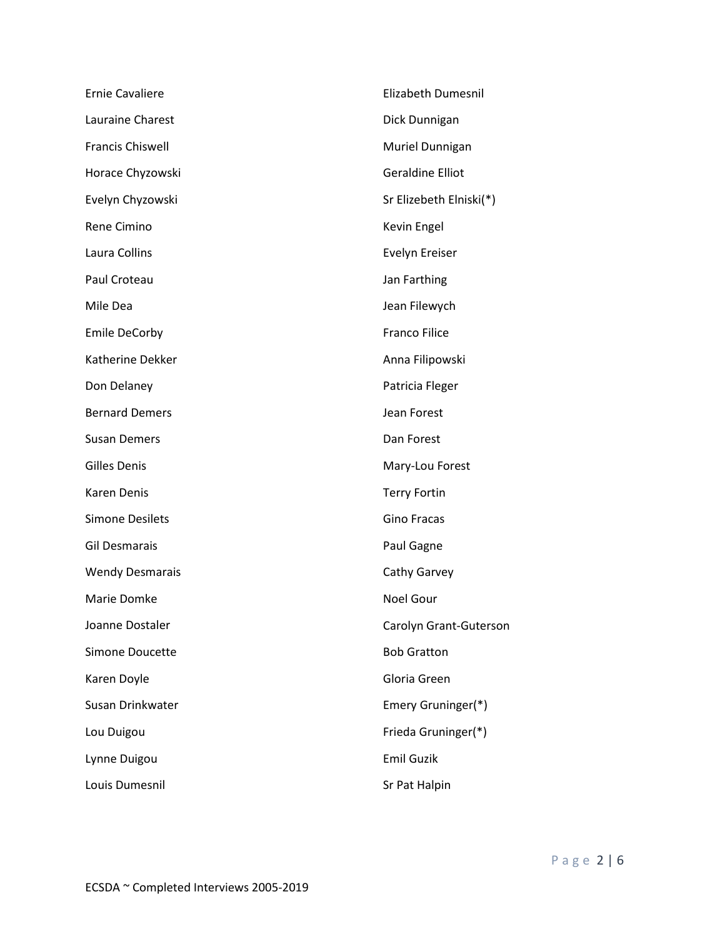| <b>Ernie Cavaliere</b>  | Elizabeth Dumesnil      |
|-------------------------|-------------------------|
| Lauraine Charest        | Dick Dunnigan           |
| <b>Francis Chiswell</b> | Muriel Dunnigan         |
| Horace Chyzowski        | <b>Geraldine Elliot</b> |
| Evelyn Chyzowski        | Sr Elizebeth Elniski(*) |
| Rene Cimino             | Kevin Engel             |
| Laura Collins           | Evelyn Ereiser          |
| Paul Croteau            | Jan Farthing            |
| Mile Dea                | Jean Filewych           |
| <b>Emile DeCorby</b>    | <b>Franco Filice</b>    |
| Katherine Dekker        | Anna Filipowski         |
| Don Delaney             | Patricia Fleger         |
| <b>Bernard Demers</b>   | Jean Forest             |
| <b>Susan Demers</b>     | Dan Forest              |
| <b>Gilles Denis</b>     | Mary-Lou Forest         |
| <b>Karen Denis</b>      | <b>Terry Fortin</b>     |
| <b>Simone Desilets</b>  | <b>Gino Fracas</b>      |
| <b>Gil Desmarais</b>    | Paul Gagne              |
| <b>Wendy Desmarais</b>  | Cathy Garvey            |
| Marie Domke             | Noel Gour               |
| Joanne Dostaler         | Carolyn Grant-Guterson  |
| Simone Doucette         | <b>Bob Gratton</b>      |
| Karen Doyle             | Gloria Green            |
| Susan Drinkwater        | Emery Gruninger(*)      |
| Lou Duigou              | Frieda Gruninger(*)     |
| Lynne Duigou            | <b>Emil Guzik</b>       |
| Louis Dumesnil          | Sr Pat Halpin           |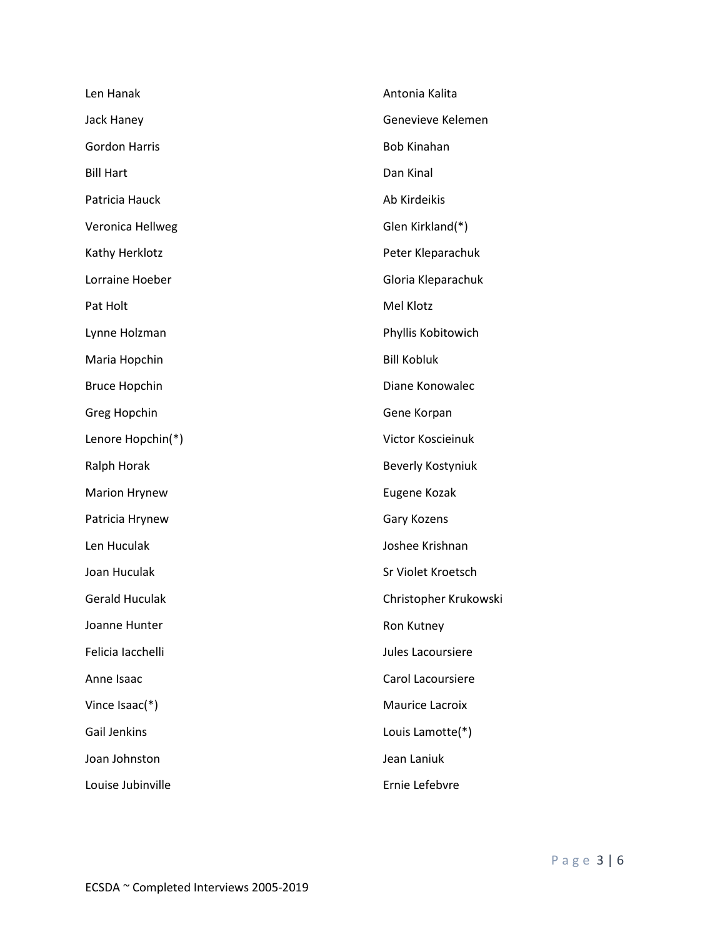| Len Hanak             | Antonia Kalita         |
|-----------------------|------------------------|
| Jack Haney            | Genevieve Kelemen      |
| <b>Gordon Harris</b>  | <b>Bob Kinahan</b>     |
| <b>Bill Hart</b>      | Dan Kinal              |
| Patricia Hauck        | Ab Kirdeikis           |
| Veronica Hellweg      | Glen Kirkland(*)       |
| Kathy Herklotz        | Peter Kleparachuk      |
| Lorraine Hoeber       | Gloria Kleparachuk     |
| Pat Holt              | Mel Klotz              |
| Lynne Holzman         | Phyllis Kobitowich     |
| Maria Hopchin         | <b>Bill Kobluk</b>     |
| <b>Bruce Hopchin</b>  | Diane Konowalec        |
| Greg Hopchin          | Gene Korpan            |
| Lenore Hopchin(*)     | Victor Koscieinuk      |
| Ralph Horak           | Beverly Kostyniuk      |
| <b>Marion Hrynew</b>  | Eugene Kozak           |
| Patricia Hrynew       | Gary Kozens            |
| Len Huculak           | Joshee Krishnan        |
| Joan Huculak          | Sr Violet Kroetsch     |
| <b>Gerald Huculak</b> | Christopher Krukowski  |
| Joanne Hunter         | Ron Kutney             |
| Felicia Iacchelli     | Jules Lacoursiere      |
| Anne Isaac            | Carol Lacoursiere      |
| Vince Isaac(*)        | <b>Maurice Lacroix</b> |
| <b>Gail Jenkins</b>   | Louis Lamotte(*)       |
| Joan Johnston         | Jean Laniuk            |
| Louise Jubinville     | Ernie Lefebvre         |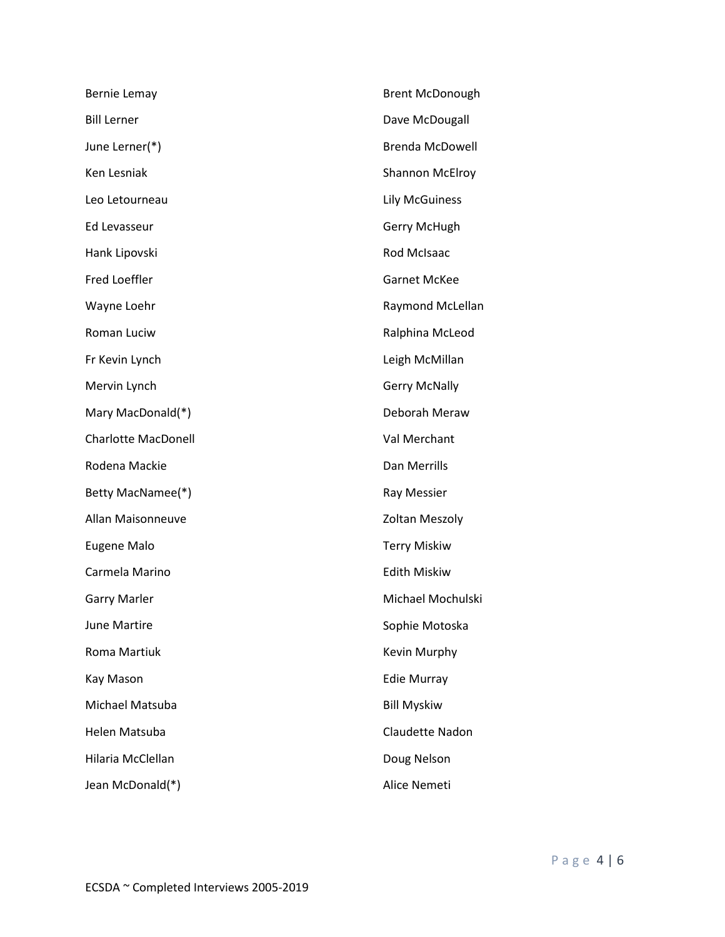| Bernie Lemay               | <b>Brent McDonough</b> |
|----------------------------|------------------------|
| <b>Bill Lerner</b>         | Dave McDougall         |
| June Lerner(*)             | <b>Brenda McDowell</b> |
| Ken Lesniak                | <b>Shannon McElroy</b> |
| Leo Letourneau             | <b>Lily McGuiness</b>  |
| Ed Levasseur               | Gerry McHugh           |
| Hank Lipovski              | Rod McIsaac            |
| Fred Loeffler              | <b>Garnet McKee</b>    |
| Wayne Loehr                | Raymond McLellan       |
| Roman Luciw                | Ralphina McLeod        |
| Fr Kevin Lynch             | Leigh McMillan         |
| Mervin Lynch               | <b>Gerry McNally</b>   |
| Mary MacDonald(*)          | Deborah Meraw          |
| <b>Charlotte MacDonell</b> | Val Merchant           |
| Rodena Mackie              | Dan Merrills           |
| Betty MacNamee(*)          | Ray Messier            |
| Allan Maisonneuve          | Zoltan Meszoly         |
| <b>Eugene Malo</b>         | <b>Terry Miskiw</b>    |
| Carmela Marino             | <b>Edith Miskiw</b>    |
| <b>Garry Marler</b>        | Michael Mochulski      |
| June Martire               | Sophie Motoska         |
| Roma Martiuk               | Kevin Murphy           |
| Kay Mason                  | <b>Edie Murray</b>     |
| Michael Matsuba            | <b>Bill Myskiw</b>     |
| Helen Matsuba              | Claudette Nadon        |
| Hilaria McClellan          | Doug Nelson            |
| Jean McDonald(*)           | Alice Nemeti           |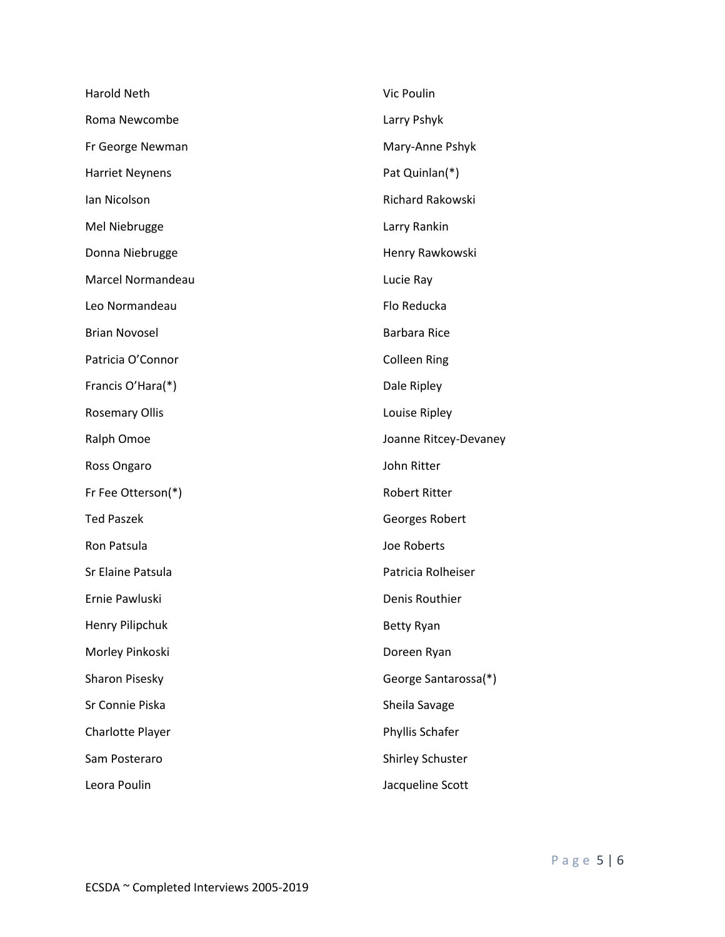| Harold Neth            | Vic Poulin            |
|------------------------|-----------------------|
| Roma Newcombe          | Larry Pshyk           |
| Fr George Newman       | Mary-Anne Pshyk       |
| <b>Harriet Neynens</b> | Pat Quinlan(*)        |
| Ian Nicolson           | Richard Rakowski      |
| Mel Niebrugge          | Larry Rankin          |
| Donna Niebrugge        | Henry Rawkowski       |
| Marcel Normandeau      | Lucie Ray             |
| Leo Normandeau         | Flo Reducka           |
| <b>Brian Novosel</b>   | <b>Barbara Rice</b>   |
| Patricia O'Connor      | <b>Colleen Ring</b>   |
| Francis O'Hara(*)      | Dale Ripley           |
| <b>Rosemary Ollis</b>  | Louise Ripley         |
| Ralph Omoe             | Joanne Ritcey-Devaney |
| Ross Ongaro            | John Ritter           |
| Fr Fee Otterson(*)     | <b>Robert Ritter</b>  |
| <b>Ted Paszek</b>      | Georges Robert        |
| Ron Patsula            | Joe Roberts           |
| Sr Elaine Patsula      | Patricia Rolheiser    |
| Ernie Pawluski         | Denis Routhier        |
| Henry Pilipchuk        | <b>Betty Ryan</b>     |
| Morley Pinkoski        | Doreen Ryan           |
| Sharon Pisesky         | George Santarossa(*)  |
| Sr Connie Piska        | Sheila Savage         |
| Charlotte Player       | Phyllis Schafer       |
| Sam Posteraro          | Shirley Schuster      |
| Leora Poulin           | Jacqueline Scott      |